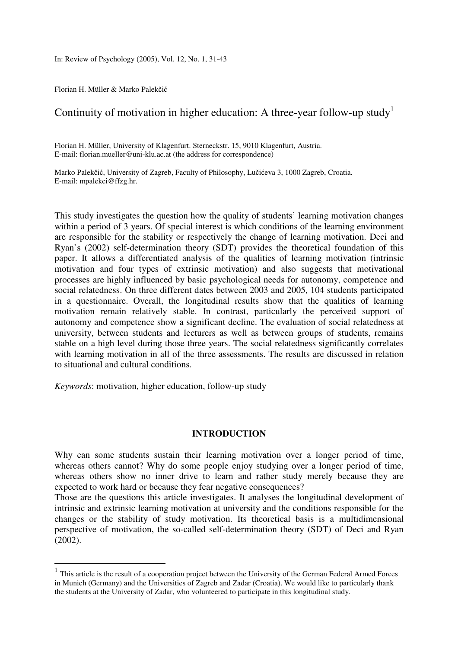In: Review of Psychology (2005), Vol. 12, No. 1, 31-43

Florian H. Müller & Marko Palekčić

# Continuity of motivation in higher education: A three-year follow-up study<sup>1</sup>

Florian H. Müller, University of Klagenfurt. Sterneckstr. 15, 9010 Klagenfurt, Austria. E-mail: florian.mueller@uni-klu.ac.at (the address for correspondence)

Marko Palekčić, University of Zagreb, Faculty of Philosophy, Lučićeva 3, 1000 Zagreb, Croatia. E-mail: mpalekci@ffzg.hr.

This study investigates the question how the quality of students' learning motivation changes within a period of 3 years. Of special interest is which conditions of the learning environment are responsible for the stability or respectively the change of learning motivation. Deci and Ryan's (2002) self-determination theory (SDT) provides the theoretical foundation of this paper. It allows a differentiated analysis of the qualities of learning motivation (intrinsic motivation and four types of extrinsic motivation) and also suggests that motivational processes are highly influenced by basic psychological needs for autonomy, competence and social relatedness. On three different dates between 2003 and 2005, 104 students participated in a questionnaire. Overall, the longitudinal results show that the qualities of learning motivation remain relatively stable. In contrast, particularly the perceived support of autonomy and competence show a significant decline. The evaluation of social relatedness at university, between students and lecturers as well as between groups of students, remains stable on a high level during those three years. The social relatedness significantly correlates with learning motivation in all of the three assessments. The results are discussed in relation to situational and cultural conditions.

*Keywords*: motivation, higher education, follow-up study

 $\overline{a}$ 

## **INTRODUCTION**

Why can some students sustain their learning motivation over a longer period of time, whereas others cannot? Why do some people enjoy studying over a longer period of time, whereas others show no inner drive to learn and rather study merely because they are expected to work hard or because they fear negative consequences?

Those are the questions this article investigates. It analyses the longitudinal development of intrinsic and extrinsic learning motivation at university and the conditions responsible for the changes or the stability of study motivation. Its theoretical basis is a multidimensional perspective of motivation, the so-called self-determination theory (SDT) of Deci and Ryan (2002).

 $<sup>1</sup>$  This article is the result of a cooperation project between the University of the German Federal Armed Forces</sup> in Munich (Germany) and the Universities of Zagreb and Zadar (Croatia). We would like to particularly thank the students at the University of Zadar, who volunteered to participate in this longitudinal study.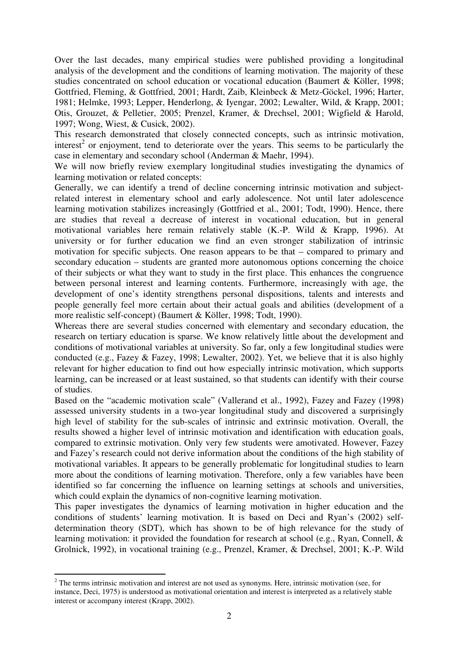Over the last decades, many empirical studies were published providing a longitudinal analysis of the development and the conditions of learning motivation. The majority of these studies concentrated on school education or vocational education (Baumert & Köller, 1998; Gottfried, Fleming, & Gottfried, 2001; Hardt, Zaib, Kleinbeck & Metz-Göckel, 1996; Harter, 1981; Helmke, 1993; Lepper, Henderlong, & Iyengar, 2002; Lewalter, Wild, & Krapp, 2001; Otis, Grouzet, & Pelletier, 2005; Prenzel, Kramer, & Drechsel, 2001; Wigfield & Harold, 1997; Wong, Wiest, & Cusick, 2002).

This research demonstrated that closely connected concepts, such as intrinsic motivation, interest<sup>2</sup> or enjoyment, tend to deteriorate over the years. This seems to be particularly the case in elementary and secondary school (Anderman & Maehr, 1994).

We will now briefly review exemplary longitudinal studies investigating the dynamics of learning motivation or related concepts:

Generally, we can identify a trend of decline concerning intrinsic motivation and subjectrelated interest in elementary school and early adolescence. Not until later adolescence learning motivation stabilizes increasingly (Gottfried et al., 2001; Todt, 1990). Hence, there are studies that reveal a decrease of interest in vocational education, but in general motivational variables here remain relatively stable (K.-P. Wild & Krapp, 1996). At university or for further education we find an even stronger stabilization of intrinsic motivation for specific subjects. One reason appears to be that – compared to primary and secondary education – students are granted more autonomous options concerning the choice of their subjects or what they want to study in the first place. This enhances the congruence between personal interest and learning contents. Furthermore, increasingly with age, the development of one's identity strengthens personal dispositions, talents and interests and people generally feel more certain about their actual goals and abilities (development of a more realistic self-concept) (Baumert & Köller, 1998; Todt, 1990).

Whereas there are several studies concerned with elementary and secondary education, the research on tertiary education is sparse. We know relatively little about the development and conditions of motivational variables at university. So far, only a few longitudinal studies were conducted (e.g., Fazey & Fazey, 1998; Lewalter, 2002). Yet, we believe that it is also highly relevant for higher education to find out how especially intrinsic motivation, which supports learning, can be increased or at least sustained, so that students can identify with their course of studies.

Based on the "academic motivation scale" (Vallerand et al., 1992), Fazey and Fazey (1998) assessed university students in a two-year longitudinal study and discovered a surprisingly high level of stability for the sub-scales of intrinsic and extrinsic motivation. Overall, the results showed a higher level of intrinsic motivation and identification with education goals, compared to extrinsic motivation. Only very few students were amotivated. However, Fazey and Fazey's research could not derive information about the conditions of the high stability of motivational variables. It appears to be generally problematic for longitudinal studies to learn more about the conditions of learning motivation. Therefore, only a few variables have been identified so far concerning the influence on learning settings at schools and universities, which could explain the dynamics of non-cognitive learning motivation.

This paper investigates the dynamics of learning motivation in higher education and the conditions of students' learning motivation. It is based on Deci and Ryan's (2002) selfdetermination theory (SDT), which has shown to be of high relevance for the study of learning motivation: it provided the foundation for research at school (e.g., Ryan, Connell, & Grolnick, 1992), in vocational training (e.g., Prenzel, Kramer, & Drechsel, 2001; K.-P. Wild

 $\overline{a}$ 

 $2<sup>2</sup>$  The terms intrinsic motivation and interest are not used as synonyms. Here, intrinsic motivation (see, for instance, Deci, 1975) is understood as motivational orientation and interest is interpreted as a relatively stable interest or accompany interest (Krapp, 2002).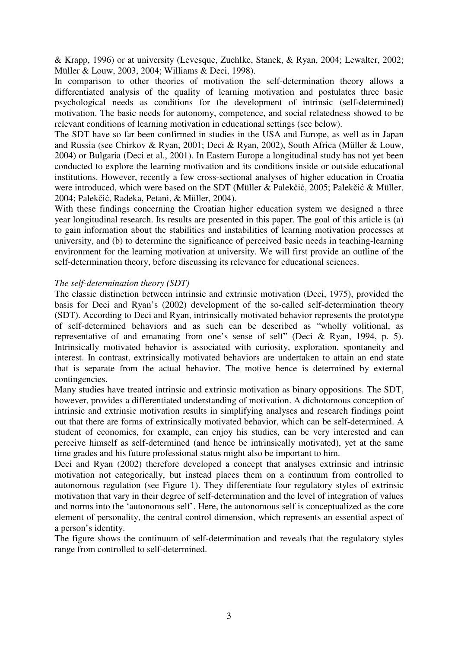& Krapp, 1996) or at university (Levesque, Zuehlke, Stanek, & Ryan, 2004; Lewalter, 2002; Müller & Louw, 2003, 2004; Williams & Deci, 1998).

In comparison to other theories of motivation the self-determination theory allows a differentiated analysis of the quality of learning motivation and postulates three basic psychological needs as conditions for the development of intrinsic (self-determined) motivation. The basic needs for autonomy, competence, and social relatedness showed to be relevant conditions of learning motivation in educational settings (see below).

The SDT have so far been confirmed in studies in the USA and Europe, as well as in Japan and Russia (see Chirkov & Ryan, 2001; Deci & Ryan, 2002), South Africa (Müller & Louw, 2004) or Bulgaria (Deci et al., 2001). In Eastern Europe a longitudinal study has not yet been conducted to explore the learning motivation and its conditions inside or outside educational institutions. However, recently a few cross-sectional analyses of higher education in Croatia were introduced, which were based on the SDT (Müller & Palekčić, 2005; Palekčić & Müller, 2004; Palekčić, Radeka, Petani, & Müller, 2004).

With these findings concerning the Croatian higher education system we designed a three year longitudinal research. Its results are presented in this paper. The goal of this article is (a) to gain information about the stabilities and instabilities of learning motivation processes at university, and (b) to determine the significance of perceived basic needs in teaching-learning environment for the learning motivation at university. We will first provide an outline of the self-determination theory, before discussing its relevance for educational sciences.

# *The self-determination theory (SDT)*

The classic distinction between intrinsic and extrinsic motivation (Deci, 1975), provided the basis for Deci and Ryan's (2002) development of the so-called self-determination theory (SDT). According to Deci and Ryan, intrinsically motivated behavior represents the prototype of self-determined behaviors and as such can be described as "wholly volitional, as representative of and emanating from one's sense of self" (Deci & Ryan, 1994, p. 5). Intrinsically motivated behavior is associated with curiosity, exploration, spontaneity and interest. In contrast, extrinsically motivated behaviors are undertaken to attain an end state that is separate from the actual behavior. The motive hence is determined by external contingencies.

Many studies have treated intrinsic and extrinsic motivation as binary oppositions. The SDT, however, provides a differentiated understanding of motivation. A dichotomous conception of intrinsic and extrinsic motivation results in simplifying analyses and research findings point out that there are forms of extrinsically motivated behavior, which can be self-determined. A student of economics, for example, can enjoy his studies, can be very interested and can perceive himself as self-determined (and hence be intrinsically motivated), yet at the same time grades and his future professional status might also be important to him.

Deci and Ryan (2002) therefore developed a concept that analyses extrinsic and intrinsic motivation not categorically, but instead places them on a continuum from controlled to autonomous regulation (see Figure 1). They differentiate four regulatory styles of extrinsic motivation that vary in their degree of self-determination and the level of integration of values and norms into the 'autonomous self'. Here, the autonomous self is conceptualized as the core element of personality, the central control dimension, which represents an essential aspect of a person's identity.

The figure shows the continuum of self-determination and reveals that the regulatory styles range from controlled to self-determined.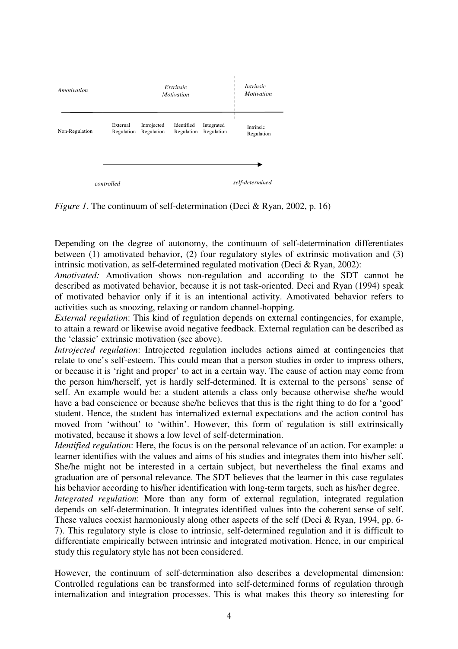

*Figure 1*. The continuum of self-determination (Deci & Ryan, 2002, p. 16)

Depending on the degree of autonomy, the continuum of self-determination differentiates between (1) amotivated behavior, (2) four regulatory styles of extrinsic motivation and (3) intrinsic motivation, as self-determined regulated motivation (Deci & Ryan, 2002):

*Amotivated:* Amotivation shows non-regulation and according to the SDT cannot be described as motivated behavior, because it is not task-oriented. Deci and Ryan (1994) speak of motivated behavior only if it is an intentional activity. Amotivated behavior refers to activities such as snoozing, relaxing or random channel-hopping.

*External regulation*: This kind of regulation depends on external contingencies, for example, to attain a reward or likewise avoid negative feedback. External regulation can be described as the 'classic' extrinsic motivation (see above).

*Introjected regulation*: Introjected regulation includes actions aimed at contingencies that relate to one's self-esteem. This could mean that a person studies in order to impress others, or because it is 'right and proper' to act in a certain way. The cause of action may come from the person him/herself, yet is hardly self-determined. It is external to the persons` sense of self. An example would be: a student attends a class only because otherwise she/he would have a bad conscience or because she/he believes that this is the right thing to do for a 'good' student. Hence, the student has internalized external expectations and the action control has moved from 'without' to 'within'. However, this form of regulation is still extrinsically motivated, because it shows a low level of self-determination.

*Identified regulation*: Here, the focus is on the personal relevance of an action. For example: a learner identifies with the values and aims of his studies and integrates them into his/her self. She/he might not be interested in a certain subject, but nevertheless the final exams and graduation are of personal relevance. The SDT believes that the learner in this case regulates his behavior according to his/her identification with long-term targets, such as his/her degree.

*Integrated regulation*: More than any form of external regulation, integrated regulation depends on self-determination. It integrates identified values into the coherent sense of self. These values coexist harmoniously along other aspects of the self (Deci & Ryan, 1994, pp. 6- 7). This regulatory style is close to intrinsic, self-determined regulation and it is difficult to differentiate empirically between intrinsic and integrated motivation. Hence, in our empirical study this regulatory style has not been considered.

However, the continuum of self-determination also describes a developmental dimension: Controlled regulations can be transformed into self-determined forms of regulation through internalization and integration processes. This is what makes this theory so interesting for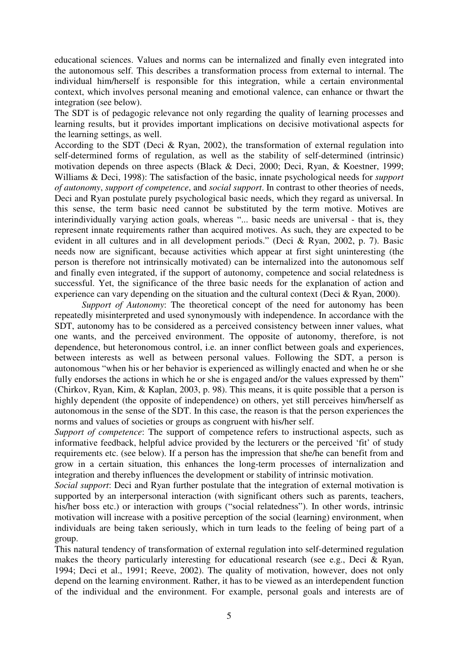educational sciences. Values and norms can be internalized and finally even integrated into the autonomous self. This describes a transformation process from external to internal. The individual him/herself is responsible for this integration, while a certain environmental context, which involves personal meaning and emotional valence, can enhance or thwart the integration (see below).

The SDT is of pedagogic relevance not only regarding the quality of learning processes and learning results, but it provides important implications on decisive motivational aspects for the learning settings, as well.

According to the SDT (Deci & Ryan, 2002), the transformation of external regulation into self-determined forms of regulation, as well as the stability of self-determined (intrinsic) motivation depends on three aspects (Black & Deci, 2000; Deci, Ryan, & Koestner, 1999; Williams & Deci, 1998): The satisfaction of the basic, innate psychological needs for *support of autonomy*, *support of competence*, and *social support*. In contrast to other theories of needs, Deci and Ryan postulate purely psychological basic needs, which they regard as universal. In this sense, the term basic need cannot be substituted by the term motive. Motives are interindividually varying action goals, whereas "... basic needs are universal - that is, they represent innate requirements rather than acquired motives. As such, they are expected to be evident in all cultures and in all development periods." (Deci & Ryan, 2002, p. 7). Basic needs now are significant, because activities which appear at first sight uninteresting (the person is therefore not intrinsically motivated) can be internalized into the autonomous self and finally even integrated, if the support of autonomy, competence and social relatedness is successful. Yet, the significance of the three basic needs for the explanation of action and experience can vary depending on the situation and the cultural context (Deci & Ryan, 2000).

*Support of Autonomy*: The theoretical concept of the need for autonomy has been repeatedly misinterpreted and used synonymously with independence. In accordance with the SDT, autonomy has to be considered as a perceived consistency between inner values, what one wants, and the perceived environment. The opposite of autonomy, therefore, is not dependence, but heteronomous control, i.e. an inner conflict between goals and experiences, between interests as well as between personal values. Following the SDT, a person is autonomous "when his or her behavior is experienced as willingly enacted and when he or she fully endorses the actions in which he or she is engaged and/or the values expressed by them" (Chirkov, Ryan, Kim, & Kaplan, 2003, p. 98). This means, it is quite possible that a person is highly dependent (the opposite of independence) on others, yet still perceives him/herself as autonomous in the sense of the SDT. In this case, the reason is that the person experiences the norms and values of societies or groups as congruent with his/her self.

*Support of competence*: The support of competence refers to instructional aspects, such as informative feedback, helpful advice provided by the lecturers or the perceived 'fit' of study requirements etc. (see below). If a person has the impression that she/he can benefit from and grow in a certain situation, this enhances the long-term processes of internalization and integration and thereby influences the development or stability of intrinsic motivation.

*Social support*: Deci and Ryan further postulate that the integration of external motivation is supported by an interpersonal interaction (with significant others such as parents, teachers, his/her boss etc.) or interaction with groups ("social relatedness"). In other words, intrinsic motivation will increase with a positive perception of the social (learning) environment, when individuals are being taken seriously, which in turn leads to the feeling of being part of a group.

This natural tendency of transformation of external regulation into self-determined regulation makes the theory particularly interesting for educational research (see e.g., Deci & Ryan, 1994; Deci et al., 1991; Reeve, 2002). The quality of motivation, however, does not only depend on the learning environment. Rather, it has to be viewed as an interdependent function of the individual and the environment. For example, personal goals and interests are of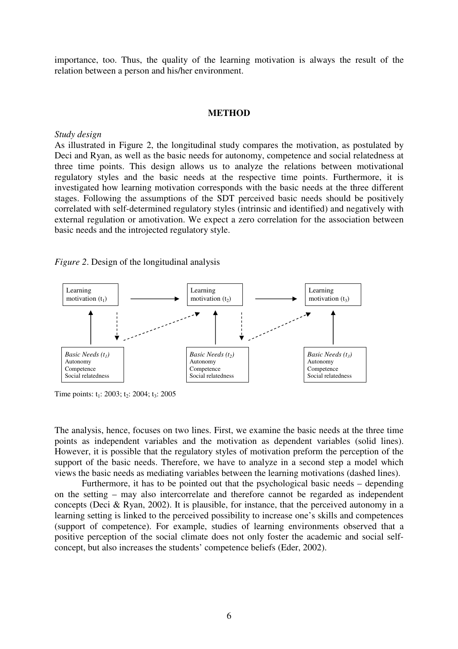importance, too. Thus, the quality of the learning motivation is always the result of the relation between a person and his/her environment.

#### **METHOD**

#### *Study design*

As illustrated in Figure 2, the longitudinal study compares the motivation, as postulated by Deci and Ryan, as well as the basic needs for autonomy, competence and social relatedness at three time points. This design allows us to analyze the relations between motivational regulatory styles and the basic needs at the respective time points. Furthermore, it is investigated how learning motivation corresponds with the basic needs at the three different stages. Following the assumptions of the SDT perceived basic needs should be positively correlated with self-determined regulatory styles (intrinsic and identified) and negatively with external regulation or amotivation. We expect a zero correlation for the association between basic needs and the introjected regulatory style.

*Figure 2*. Design of the longitudinal analysis



Time points:  $t_1$ : 2003;  $t_2$ : 2004;  $t_3$ : 2005

The analysis, hence, focuses on two lines. First, we examine the basic needs at the three time points as independent variables and the motivation as dependent variables (solid lines). However, it is possible that the regulatory styles of motivation preform the perception of the support of the basic needs. Therefore, we have to analyze in a second step a model which views the basic needs as mediating variables between the learning motivations (dashed lines).

Furthermore, it has to be pointed out that the psychological basic needs – depending on the setting – may also intercorrelate and therefore cannot be regarded as independent concepts (Deci & Ryan, 2002). It is plausible, for instance, that the perceived autonomy in a learning setting is linked to the perceived possibility to increase one's skills and competences (support of competence). For example, studies of learning environments observed that a positive perception of the social climate does not only foster the academic and social selfconcept, but also increases the students' competence beliefs (Eder, 2002).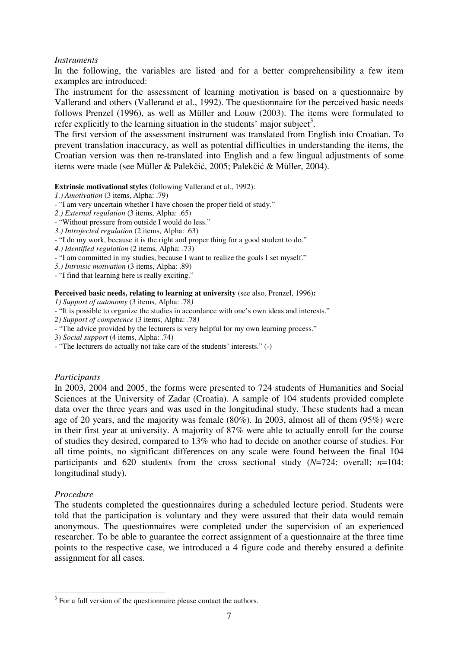# *Instruments*

In the following, the variables are listed and for a better comprehensibility a few item examples are introduced:

The instrument for the assessment of learning motivation is based on a questionnaire by Vallerand and others (Vallerand et al., 1992). The questionnaire for the perceived basic needs follows Prenzel (1996), as well as Müller and Louw (2003). The items were formulated to refer explicitly to the learning situation in the students' major subject<sup>3</sup>.

The first version of the assessment instrument was translated from English into Croatian. To prevent translation inaccuracy, as well as potential difficulties in understanding the items, the Croatian version was then re-translated into English and a few lingual adjustments of some items were made (see Müller & Palekčić, 2005; Palekčić & Müller, 2004).

**Extrinsic motivational styles** (following Vallerand et al., 1992):

- *1.) Amotivation* (3 items, Alpha: .79)
- "I am very uncertain whether I have chosen the proper field of study."
- *2.) External regulation* (3 items, Alpha: .65)
- "Without pressure from outside I would do less."
- *3.) Introjected regulation* (2 items, Alpha: .63)
- "I do my work, because it is the right and proper thing for a good student to do."
- *4.) Identified regulation* (2 items, Alpha: .73)
- "I am committed in my studies, because I want to realize the goals I set myself."
- *5.) Intrinsic motivation* (3 items, Alpha: .89)
- "I find that learning here is really exciting."

#### Perceived basic needs, relating to learning at university (see also, Prenzel, 1996):

*1) Support of autonomy* (3 items, Alpha: .78*)* 

- "It is possible to organize the studies in accordance with one's own ideas and interests."
- *2) Support of competence* (3 items, Alpha: .78*)*
- "The advice provided by the lecturers is very helpful for my own learning process."
- 3) *Social support* (4 items, Alpha: .74)
- "The lecturers do actually not take care of the students' interests." (-)

## *Participants*

In 2003, 2004 and 2005, the forms were presented to 724 students of Humanities and Social Sciences at the University of Zadar (Croatia). A sample of 104 students provided complete data over the three years and was used in the longitudinal study. These students had a mean age of 20 years, and the majority was female (80%). In 2003, almost all of them (95%) were in their first year at university. A majority of 87% were able to actually enroll for the course of studies they desired, compared to 13% who had to decide on another course of studies. For all time points, no significant differences on any scale were found between the final 104 participants and 620 students from the cross sectional study (*N*=724: overall; *n*=104: longitudinal study).

# *Procedure*

 $\overline{a}$ 

The students completed the questionnaires during a scheduled lecture period. Students were told that the participation is voluntary and they were assured that their data would remain anonymous. The questionnaires were completed under the supervision of an experienced researcher. To be able to guarantee the correct assignment of a questionnaire at the three time points to the respective case, we introduced a 4 figure code and thereby ensured a definite assignment for all cases.

 $3$  For a full version of the questionnaire please contact the authors.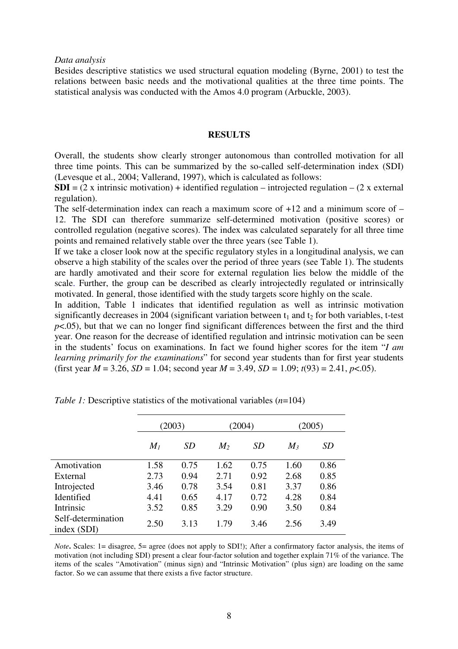*Data analysis* 

Besides descriptive statistics we used structural equation modeling (Byrne, 2001) to test the relations between basic needs and the motivational qualities at the three time points. The statistical analysis was conducted with the Amos 4.0 program (Arbuckle, 2003).

### **RESULTS**

Overall, the students show clearly stronger autonomous than controlled motivation for all three time points. This can be summarized by the so-called self-determination index (SDI) (Levesque et al., 2004; Vallerand, 1997), which is calculated as follows:

**SDI** =  $(2 \times i)$  intrinsic motivation) + identified regulation – introjected regulation –  $(2 \times i)$  external regulation).

The self-determination index can reach a maximum score of  $+12$  and a minimum score of  $-$ 12. The SDI can therefore summarize self-determined motivation (positive scores) or controlled regulation (negative scores). The index was calculated separately for all three time points and remained relatively stable over the three years (see Table 1).

If we take a closer look now at the specific regulatory styles in a longitudinal analysis, we can observe a high stability of the scales over the period of three years (see Table 1). The students are hardly amotivated and their score for external regulation lies below the middle of the scale. Further, the group can be described as clearly introjectedly regulated or intrinsically motivated. In general, those identified with the study targets score highly on the scale.

In addition, Table 1 indicates that identified regulation as well as intrinsic motivation significantly decreases in 2004 (significant variation between  $t_1$  and  $t_2$  for both variables, t-test  $p<.05$ ), but that we can no longer find significant differences between the first and the third year. One reason for the decrease of identified regulation and intrinsic motivation can be seen in the students' focus on examinations. In fact we found higher scores for the item "*I am learning primarily for the examinations*" for second year students than for first year students (first year  $M = 3.26$ ,  $SD = 1.04$ ; second year  $M = 3.49$ ,  $SD = 1.09$ ;  $t(93) = 2.41$ ,  $p < .05$ ).

|                                   | (2003) |           |                | (2004) | (2005) |           |
|-----------------------------------|--------|-----------|----------------|--------|--------|-----------|
|                                   | $M_I$  | <i>SD</i> | M <sub>2</sub> | SD     | $M_3$  | <i>SD</i> |
| Amotivation                       | 1.58   | 0.75      | 1.62           | 0.75   | 1.60   | 0.86      |
| External                          | 2.73   | 0.94      | 2.71           | 0.92   | 2.68   | 0.85      |
| Introjected                       | 3.46   | 0.78      | 3.54           | 0.81   | 3.37   | 0.86      |
| Identified                        | 4.41   | 0.65      | 4.17           | 0.72   | 4.28   | 0.84      |
| Intrinsic                         | 3.52   | 0.85      | 3.29           | 0.90   | 3.50   | 0.84      |
| Self-determination<br>index (SDI) | 2.50   | 3.13      | 1.79           | 3.46   | 2.56   | 3.49      |

*Table 1:* Descriptive statistics of the motivational variables (*n*=104)

*Note***.** Scales: 1= disagree, 5= agree (does not apply to SDI!); After a confirmatory factor analysis, the items of motivation (not including SDI) present a clear four-factor solution and together explain 71% of the variance. The items of the scales "Amotivation" (minus sign) and "Intrinsic Motivation" (plus sign) are loading on the same factor. So we can assume that there exists a five factor structure.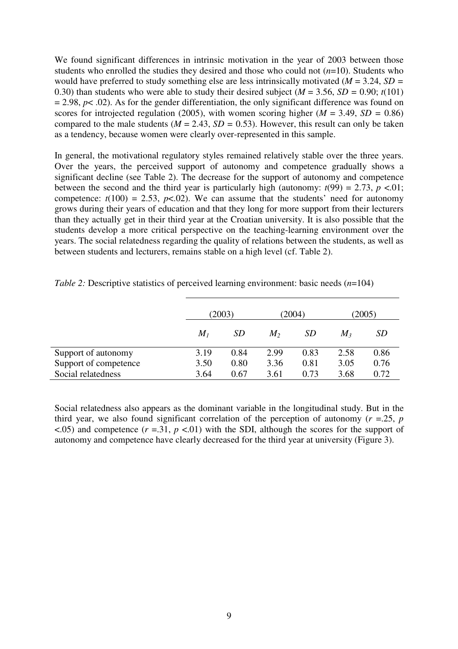We found significant differences in intrinsic motivation in the year of 2003 between those students who enrolled the studies they desired and those who could not (*n*=10). Students who would have preferred to study something else are less intrinsically motivated (*M* = 3.24, *SD =*  0.30) than students who were able to study their desired subject ( $M = 3.56$ ,  $SD = 0.90$ ;  $t(101)$ )  $= 2.98$ ,  $p < .02$ ). As for the gender differentiation, the only significant difference was found on scores for introjected regulation (2005), with women scoring higher ( $M = 3.49$ ,  $SD = 0.86$ ) compared to the male students ( $M = 2.43$ ,  $SD = 0.53$ ). However, this result can only be taken as a tendency, because women were clearly over-represented in this sample.

In general, the motivational regulatory styles remained relatively stable over the three years. Over the years, the perceived support of autonomy and competence gradually shows a significant decline (see Table 2). The decrease for the support of autonomy and competence between the second and the third year is particularly high (autonomy:  $t(99) = 2.73$ ,  $p < 01$ ; competence:  $t(100) = 2.53$ ,  $p < .02$ ). We can assume that the students' need for autonomy grows during their years of education and that they long for more support from their lecturers than they actually get in their third year at the Croatian university. It is also possible that the students develop a more critical perspective on the teaching-learning environment over the years. The social relatedness regarding the quality of relations between the students, as well as between students and lecturers, remains stable on a high level (cf. Table 2).

|                       | (2003) |           | (2004) |      | (2005)  |           |
|-----------------------|--------|-----------|--------|------|---------|-----------|
|                       | $M_I$  | <i>SD</i> | $M_2$  | SD   | $M_{3}$ | <i>SD</i> |
| Support of autonomy   | 3.19   | 0.84      | 2.99   | 0.83 | 2.58    | 0.86      |
| Support of competence | 3.50   | 0.80      | 3.36   | 0.81 | 3.05    | 0.76      |
| Social relatedness    | 3.64   | 0.67      | 3.61   | 0.73 | 3.68    | 0.72      |

*Table 2: Descriptive statistics of perceived learning environment: basic needs (<i>n*=104)

Social relatedness also appears as the dominant variable in the longitudinal study. But in the third year, we also found significant correlation of the perception of autonomy ( $r = 25$ ,  $p$  $\langle 0.05 \rangle$  and competence ( $r = 0.31$ ,  $p \langle 0.01 \rangle$  with the SDI, although the scores for the support of autonomy and competence have clearly decreased for the third year at university (Figure 3).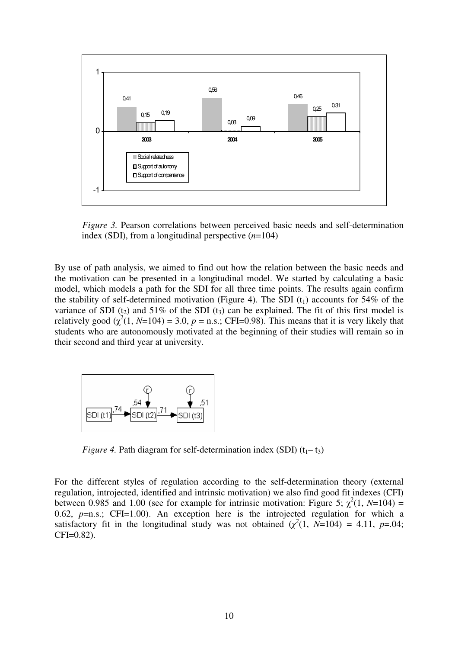

*Figure 3.* Pearson correlations between perceived basic needs and self-determination index (SDI), from a longitudinal perspective (*n*=104)

By use of path analysis, we aimed to find out how the relation between the basic needs and the motivation can be presented in a longitudinal model. We started by calculating a basic model, which models a path for the SDI for all three time points. The results again confirm the stability of self-determined motivation (Figure 4). The SDI  $(t_1)$  accounts for 54% of the variance of SDI ( $t_2$ ) and 51% of the SDI ( $t_3$ ) can be explained. The fit of this first model is relatively good  $(\chi^2(1, N=104) = 3.0, p = n.s.$ ; CFI=0.98). This means that it is very likely that students who are autonomously motivated at the beginning of their studies will remain so in their second and third year at university.



*Figure 4.* Path diagram for self-determination index (SDI)  $(t_1 - t_3)$ 

For the different styles of regulation according to the self-determination theory (external regulation, introjected, identified and intrinsic motivation) we also find good fit indexes (CFI) between 0.985 and 1.00 (see for example for intrinsic motivation: Figure 5;  $\chi^2(1, N=104)$  = 0.62,  $p=n.s.$ ; CFI=1.00). An exception here is the introjected regulation for which a satisfactory fit in the longitudinal study was not obtained  $(\chi^2(1, N=104) = 4.11, p=.04)$ ; CFI=0.82).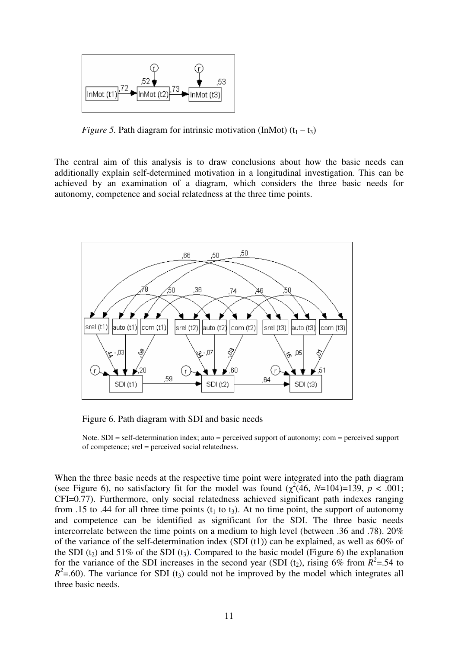

*Figure 5.* Path diagram for intrinsic motivation (InMot)  $(t_1 - t_3)$ 

The central aim of this analysis is to draw conclusions about how the basic needs can additionally explain self-determined motivation in a longitudinal investigation. This can be achieved by an examination of a diagram, which considers the three basic needs for autonomy, competence and social relatedness at the three time points.



Figure 6. Path diagram with SDI and basic needs

Note. SDI = self-determination index; auto = perceived support of autonomy; com = perceived support of competence; srel = perceived social relatedness.

When the three basic needs at the respective time point were integrated into the path diagram (see Figure 6), no satisfactory fit for the model was found  $(\chi^2(46, N=104)=139, p < .001;$ CFI=0.77). Furthermore, only social relatedness achieved significant path indexes ranging from .15 to .44 for all three time points ( $t_1$  to  $t_3$ ). At no time point, the support of autonomy and competence can be identified as significant for the SDI. The three basic needs intercorrelate between the time points on a medium to high level (between .36 and .78). 20% of the variance of the self-determination index (SDI (t1)) can be explained, as well as 60% of the SDI ( $t_2$ ) and 51% of the SDI ( $t_3$ ). Compared to the basic model (Figure 6) the explanation for the variance of the SDI increases in the second year (SDI (t<sub>2</sub>), rising 6% from  $R^2$ =.54 to  $R^2$ =.60). The variance for SDI (t<sub>3</sub>) could not be improved by the model which integrates all three basic needs.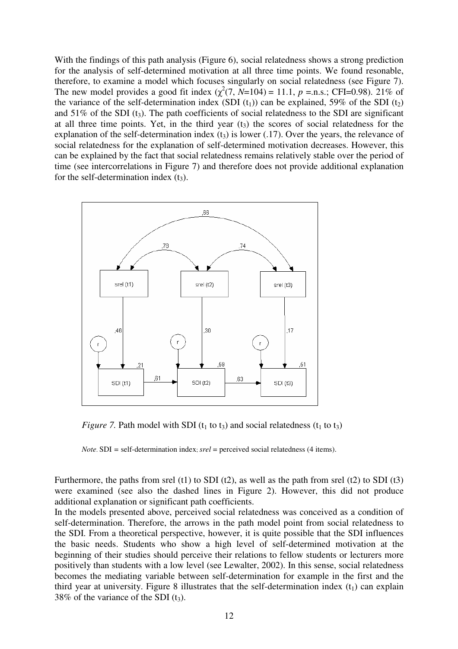With the findings of this path analysis (Figure 6), social relatedness shows a strong prediction for the analysis of self-determined motivation at all three time points. We found resonable, therefore, to examine a model which focuses singularly on social relatedness (see Figure 7). The new model provides a good fit index  $(\chi^2(7, N=104) = 11.1, p = \text{n.s.}; \text{CFI}=0.98)$ . 21% of the variance of the self-determination index (SDI  $(t_1)$ ) can be explained, 59% of the SDI  $(t_2)$ and  $51\%$  of the SDI (t<sub>3</sub>). The path coefficients of social relatedness to the SDI are significant at all three time points. Yet, in the third year  $(t<sub>3</sub>)$  the scores of social relatedness for the explanation of the self-determination index  $(t_3)$  is lower (.17). Over the years, the relevance of social relatedness for the explanation of self-determined motivation decreases. However, this can be explained by the fact that social relatedness remains relatively stable over the period of time (see intercorrelations in Figure 7) and therefore does not provide additional explanation for the self-determination index  $(t_3)$ .



*Figure 7.* Path model with SDI ( $t_1$  to  $t_3$ ) and social relatedness ( $t_1$  to  $t_3$ )

*Note*. SDI *=* self-determination index; *srel* = perceived social relatedness (4 items).

Furthermore, the paths from srel (t1) to SDI (t2), as well as the path from srel (t2) to SDI (t3) were examined (see also the dashed lines in Figure 2). However, this did not produce additional explanation or significant path coefficients.

In the models presented above, perceived social relatedness was conceived as a condition of self-determination. Therefore, the arrows in the path model point from social relatedness to the SDI. From a theoretical perspective, however, it is quite possible that the SDI influences the basic needs. Students who show a high level of self-determined motivation at the beginning of their studies should perceive their relations to fellow students or lecturers more positively than students with a low level (see Lewalter, 2002). In this sense, social relatedness becomes the mediating variable between self-determination for example in the first and the third year at university. Figure 8 illustrates that the self-determination index  $(t_1)$  can explain 38% of the variance of the SDI  $(t_3)$ .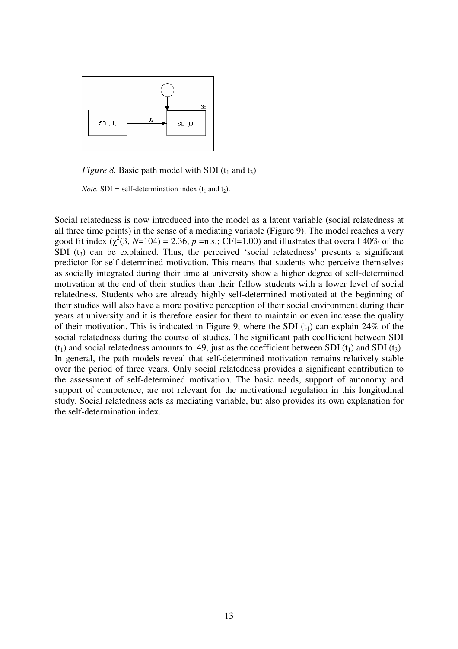

*Figure 8.* Basic path model with SDI  $(t_1$  and  $t_3$ )

*Note.* **SDI** = self-determination index ( $t_1$  and  $t_2$ ).

Social relatedness is now introduced into the model as a latent variable (social relatedness at all three time points) in the sense of a mediating variable (Figure 9). The model reaches a very good fit index  $(\chi^2(3, N=104) = 2.36, p = n.s.$ ; CFI=1.00) and illustrates that overall 40% of the SDI  $(t_3)$  can be explained. Thus, the perceived 'social relatedness' presents a significant predictor for self-determined motivation. This means that students who perceive themselves as socially integrated during their time at university show a higher degree of self-determined motivation at the end of their studies than their fellow students with a lower level of social relatedness. Students who are already highly self-determined motivated at the beginning of their studies will also have a more positive perception of their social environment during their years at university and it is therefore easier for them to maintain or even increase the quality of their motivation. This is indicated in Figure 9, where the SDI  $(t_1)$  can explain 24% of the social relatedness during the course of studies. The significant path coefficient between SDI  $(t_1)$  and social relatedness amounts to .49, just as the coefficient between SDI  $(t_1)$  and SDI  $(t_3)$ . In general, the path models reveal that self-determined motivation remains relatively stable over the period of three years. Only social relatedness provides a significant contribution to the assessment of self-determined motivation. The basic needs, support of autonomy and support of competence, are not relevant for the motivational regulation in this longitudinal study. Social relatedness acts as mediating variable, but also provides its own explanation for the self-determination index.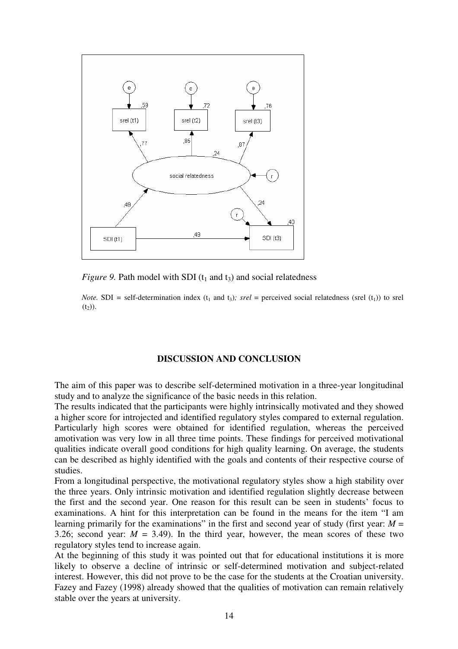

*Figure 9.* Path model with SDI ( $t_1$  and  $t_3$ ) and social relatedness

*Note.* SDI = self-determination index ( $t_1$  and  $t_3$ )*; srel* = perceived social relatedness (srel ( $t_1$ )) to srel  $(t_2)$ ).

## **DISCUSSION AND CONCLUSION**

The aim of this paper was to describe self-determined motivation in a three-year longitudinal study and to analyze the significance of the basic needs in this relation.

The results indicated that the participants were highly intrinsically motivated and they showed a higher score for introjected and identified regulatory styles compared to external regulation. Particularly high scores were obtained for identified regulation, whereas the perceived amotivation was very low in all three time points. These findings for perceived motivational qualities indicate overall good conditions for high quality learning. On average, the students can be described as highly identified with the goals and contents of their respective course of studies.

From a longitudinal perspective, the motivational regulatory styles show a high stability over the three years. Only intrinsic motivation and identified regulation slightly decrease between the first and the second year. One reason for this result can be seen in students' focus to examinations. A hint for this interpretation can be found in the means for the item "I am learning primarily for the examinations" in the first and second year of study (first year:  $M =$ 3.26; second year:  $M = 3.49$ ). In the third year, however, the mean scores of these two regulatory styles tend to increase again.

At the beginning of this study it was pointed out that for educational institutions it is more likely to observe a decline of intrinsic or self-determined motivation and subject-related interest. However, this did not prove to be the case for the students at the Croatian university. Fazey and Fazey (1998) already showed that the qualities of motivation can remain relatively stable over the years at university.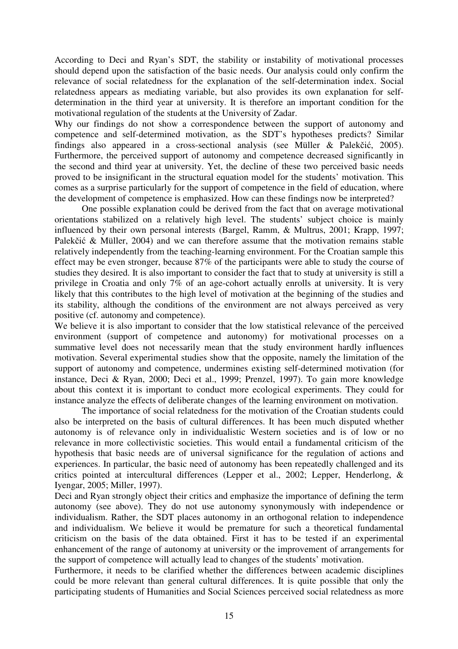According to Deci and Ryan's SDT, the stability or instability of motivational processes should depend upon the satisfaction of the basic needs. Our analysis could only confirm the relevance of social relatedness for the explanation of the self-determination index. Social relatedness appears as mediating variable, but also provides its own explanation for selfdetermination in the third year at university. It is therefore an important condition for the motivational regulation of the students at the University of Zadar.

Why our findings do not show a correspondence between the support of autonomy and competence and self-determined motivation, as the SDT's hypotheses predicts? Similar findings also appeared in a cross-sectional analysis (see Müller & Palekčić, 2005). Furthermore, the perceived support of autonomy and competence decreased significantly in the second and third year at university. Yet, the decline of these two perceived basic needs proved to be insignificant in the structural equation model for the students' motivation. This comes as a surprise particularly for the support of competence in the field of education, where the development of competence is emphasized. How can these findings now be interpreted?

One possible explanation could be derived from the fact that on average motivational orientations stabilized on a relatively high level. The students' subject choice is mainly influenced by their own personal interests (Bargel, Ramm, & Multrus, 2001; Krapp, 1997; Palekčić & Müller, 2004) and we can therefore assume that the motivation remains stable relatively independently from the teaching-learning environment. For the Croatian sample this effect may be even stronger, because 87% of the participants were able to study the course of studies they desired. It is also important to consider the fact that to study at university is still a privilege in Croatia and only 7% of an age-cohort actually enrolls at university. It is very likely that this contributes to the high level of motivation at the beginning of the studies and its stability, although the conditions of the environment are not always perceived as very positive (cf. autonomy and competence).

We believe it is also important to consider that the low statistical relevance of the perceived environment (support of competence and autonomy) for motivational processes on a summative level does not necessarily mean that the study environment hardly influences motivation. Several experimental studies show that the opposite, namely the limitation of the support of autonomy and competence, undermines existing self-determined motivation (for instance, Deci & Ryan, 2000; Deci et al., 1999; Prenzel, 1997). To gain more knowledge about this context it is important to conduct more ecological experiments. They could for instance analyze the effects of deliberate changes of the learning environment on motivation.

The importance of social relatedness for the motivation of the Croatian students could also be interpreted on the basis of cultural differences. It has been much disputed whether autonomy is of relevance only in individualistic Western societies and is of low or no relevance in more collectivistic societies. This would entail a fundamental criticism of the hypothesis that basic needs are of universal significance for the regulation of actions and experiences. In particular, the basic need of autonomy has been repeatedly challenged and its critics pointed at intercultural differences (Lepper et al., 2002; Lepper, Henderlong, & Iyengar, 2005; Miller, 1997).

Deci and Ryan strongly object their critics and emphasize the importance of defining the term autonomy (see above). They do not use autonomy synonymously with independence or individualism. Rather, the SDT places autonomy in an orthogonal relation to independence and individualism. We believe it would be premature for such a theoretical fundamental criticism on the basis of the data obtained. First it has to be tested if an experimental enhancement of the range of autonomy at university or the improvement of arrangements for the support of competence will actually lead to changes of the students' motivation.

Furthermore, it needs to be clarified whether the differences between academic disciplines could be more relevant than general cultural differences. It is quite possible that only the participating students of Humanities and Social Sciences perceived social relatedness as more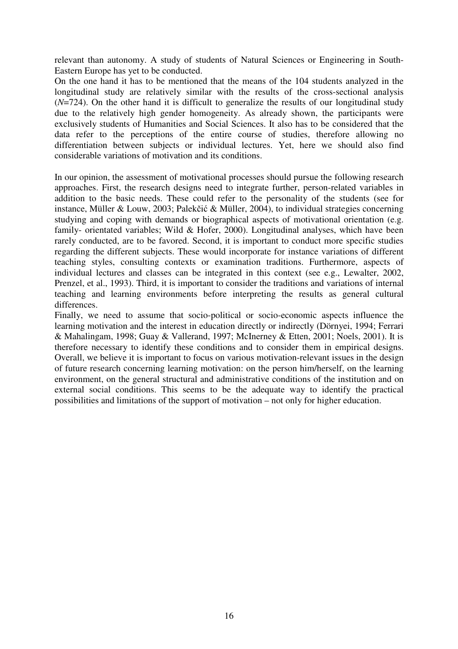relevant than autonomy. A study of students of Natural Sciences or Engineering in South-Eastern Europe has yet to be conducted.

On the one hand it has to be mentioned that the means of the 104 students analyzed in the longitudinal study are relatively similar with the results of the cross-sectional analysis (*N*=724). On the other hand it is difficult to generalize the results of our longitudinal study due to the relatively high gender homogeneity. As already shown, the participants were exclusively students of Humanities and Social Sciences. It also has to be considered that the data refer to the perceptions of the entire course of studies, therefore allowing no differentiation between subjects or individual lectures. Yet, here we should also find considerable variations of motivation and its conditions.

In our opinion, the assessment of motivational processes should pursue the following research approaches. First, the research designs need to integrate further, person-related variables in addition to the basic needs. These could refer to the personality of the students (see for instance, Müller & Louw, 2003; Palekčić & Müller, 2004), to individual strategies concerning studying and coping with demands or biographical aspects of motivational orientation (e.g. family- orientated variables; Wild & Hofer, 2000). Longitudinal analyses, which have been rarely conducted, are to be favored. Second, it is important to conduct more specific studies regarding the different subjects. These would incorporate for instance variations of different teaching styles, consulting contexts or examination traditions. Furthermore, aspects of individual lectures and classes can be integrated in this context (see e.g., Lewalter, 2002, Prenzel, et al., 1993). Third, it is important to consider the traditions and variations of internal teaching and learning environments before interpreting the results as general cultural differences.

Finally, we need to assume that socio-political or socio-economic aspects influence the learning motivation and the interest in education directly or indirectly (Dörnyei, 1994; Ferrari & Mahalingam, 1998; Guay & Vallerand, 1997; McInerney & Etten, 2001; Noels, 2001). It is therefore necessary to identify these conditions and to consider them in empirical designs. Overall, we believe it is important to focus on various motivation-relevant issues in the design of future research concerning learning motivation: on the person him/herself, on the learning environment, on the general structural and administrative conditions of the institution and on external social conditions. This seems to be the adequate way to identify the practical possibilities and limitations of the support of motivation – not only for higher education.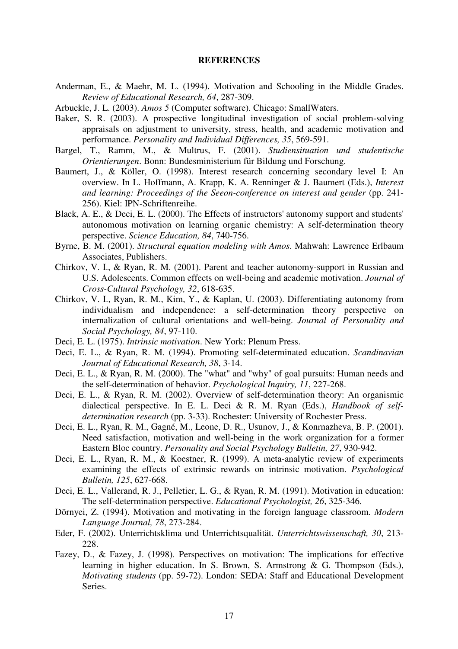#### **REFERENCES**

- Anderman, E., & Maehr, M. L. (1994). Motivation and Schooling in the Middle Grades. *Review of Educational Research, 64*, 287-309.
- Arbuckle, J. L. (2003). *Amos 5* (Computer software). Chicago: SmallWaters.
- Baker, S. R. (2003). A prospective longitudinal investigation of social problem-solving appraisals on adjustment to university, stress, health, and academic motivation and performance. *Personality and Individual Differences, 35*, 569-591.
- Bargel, T., Ramm, M., & Multrus, F. (2001). *Studiensituation und studentische Orientierungen*. Bonn: Bundesministerium für Bildung und Forschung.
- Baumert, J., & Köller, O. (1998). Interest research concerning secondary level I: An overview. In L. Hoffmann, A. Krapp, K. A. Renninger & J. Baumert (Eds.), *Interest and learning: Proceedings of the Seeon-conference on interest and gender* (pp. 241- 256). Kiel: IPN-Schriftenreihe.
- Black, A. E., & Deci, E. L. (2000). The Effects of instructors' autonomy support and students' autonomous motivation on learning organic chemistry: A self-determination theory perspective. *Science Education, 84*, 740-756.
- Byrne, B. M. (2001). *Structural equation modeling with Amos*. Mahwah: Lawrence Erlbaum Associates, Publishers.
- Chirkov, V. I., & Ryan, R. M. (2001). Parent and teacher autonomy-support in Russian and U.S. Adolescents. Common effects on well-being and academic motivation. *Journal of Cross-Cultural Psychology, 32*, 618-635.
- Chirkov, V. I., Ryan, R. M., Kim, Y., & Kaplan, U. (2003). Differentiating autonomy from individualism and independence: a self-determination theory perspective on internalization of cultural orientations and well-being. *Journal of Personality and Social Psychology, 84*, 97-110.
- Deci, E. L. (1975). *Intrinsic motivation*. New York: Plenum Press.
- Deci, E. L., & Ryan, R. M. (1994). Promoting self-determinated education. *Scandinavian Journal of Educational Research, 38*, 3-14.
- Deci, E. L., & Ryan, R. M. (2000). The "what" and "why" of goal pursuits: Human needs and the self-determination of behavior. *Psychological Inquiry, 11*, 227-268.
- Deci, E. L., & Ryan, R. M. (2002). Overview of self-determination theory: An organismic dialectical perspective. In E. L. Deci & R. M. Ryan (Eds.), *Handbook of selfdetermination research* (pp. 3-33). Rochester: University of Rochester Press.
- Deci, E. L., Ryan, R. M., Gagné, M., Leone, D. R., Usunov, J., & Konrnazheva, B. P. (2001). Need satisfaction, motivation and well-being in the work organization for a former Eastern Bloc country. *Personality and Social Psychology Bulletin, 27*, 930-942.
- Deci, E. L., Ryan, R. M., & Koestner, R. (1999). A meta-analytic review of experiments examining the effects of extrinsic rewards on intrinsic motivation. *Psychological Bulletin, 125*, 627-668.
- Deci, E. L., Vallerand, R. J., Pelletier, L. G., & Ryan, R. M. (1991). Motivation in education: The self-determination perspective. *Educational Psychologist, 26*, 325-346.
- Dörnyei, Z. (1994). Motivation and motivating in the foreign language classroom. *Modern Language Journal, 78*, 273-284.
- Eder, F. (2002). Unterrichtsklima und Unterrichtsqualität. *Unterrichtswissenschaft, 30*, 213- 228.
- Fazey, D., & Fazey, J. (1998). Perspectives on motivation: The implications for effective learning in higher education. In S. Brown, S. Armstrong & G. Thompson (Eds.), *Motivating students* (pp. 59-72). London: SEDA: Staff and Educational Development Series.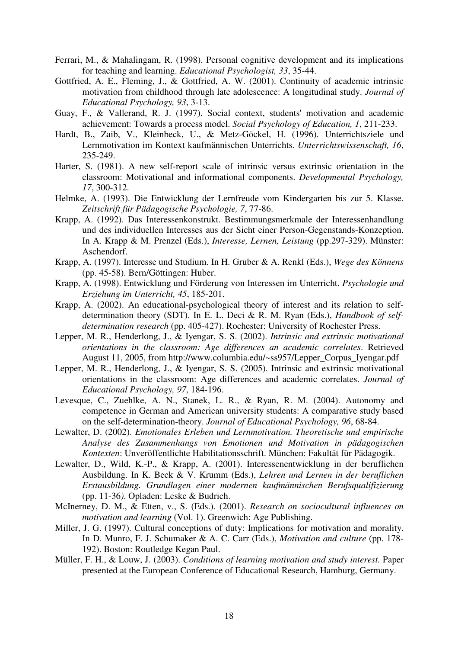- Ferrari, M., & Mahalingam, R. (1998). Personal cognitive development and its implications for teaching and learning. *Educational Psychologist, 33*, 35-44.
- Gottfried, A. E., Fleming, J., & Gottfried, A. W. (2001). Continuity of academic intrinsic motivation from childhood through late adolescence: A longitudinal study. *Journal of Educational Psychology, 93*, 3-13.
- Guay, F., & Vallerand, R. J. (1997). Social context, students' motivation and academic achievement: Towards a process model. *Social Psychology of Education, 1*, 211-233.
- Hardt, B., Zaib, V., Kleinbeck, U., & Metz-Göckel, H. (1996). Unterrichtsziele und Lernmotivation im Kontext kaufmännischen Unterrichts. *Unterrichtswissenschaft, 16*, 235-249.
- Harter, S. (1981). A new self-report scale of intrinsic versus extrinsic orientation in the classroom: Motivational and informational components. *Developmental Psychology, 17*, 300-312.
- Helmke, A. (1993). Die Entwicklung der Lernfreude vom Kindergarten bis zur 5. Klasse. *Zeitschrift für Pädagogische Psychologie, 7*, 77-86.
- Krapp, A. (1992). Das Interessenkonstrukt. Bestimmungsmerkmale der Interessenhandlung und des individuellen Interesses aus der Sicht einer Person-Gegenstands-Konzeption. In A. Krapp & M. Prenzel (Eds.), *Interesse, Lernen, Leistung* (pp.297-329). Münster: Aschendorf.
- Krapp, A. (1997). Interesse und Studium. In H. Gruber & A. Renkl (Eds.), *Wege des Könnens* (pp. 45-58). Bern/Göttingen: Huber.
- Krapp, A. (1998). Entwicklung und Förderung von Interessen im Unterricht. *Psychologie und Erziehung im Unterricht, 45*, 185-201.
- Krapp, A. (2002). An educational-psychological theory of interest and its relation to selfdetermination theory (SDT). In E. L. Deci & R. M. Ryan (Eds.), *Handbook of selfdetermination research* (pp. 405-427). Rochester: University of Rochester Press.
- Lepper, M. R., Henderlong, J., & Iyengar, S. S. (2002). *Intrinsic and extrinsic motivational orientations in the classroom: Age differences an academic correlates*. Retrieved August 11, 2005, from http://www.columbia.edu/~ss957/Lepper\_Corpus\_Iyengar.pdf
- Lepper, M. R., Henderlong, J., & Iyengar, S. S. (2005). Intrinsic and extrinsic motivational orientations in the classroom: Age differences and academic correlates. *Journal of Educational Psychology, 97*, 184-196.
- Levesque, C., Zuehlke, A. N., Stanek, L. R., & Ryan, R. M. (2004). Autonomy and competence in German and American university students: A comparative study based on the self-determination-theory. *Journal of Educational Psychology, 96*, 68-84.
- Lewalter, D. (2002). *Emotionales Erleben und Lernmotivation. Theoretische und empirische Analyse des Zusammenhangs von Emotionen und Motivation in pädagogischen Kontexten*: Unveröffentlichte Habilitationsschrift. München: Fakultät für Pädagogik.
- Lewalter, D., Wild, K.-P., & Krapp, A. (2001). Interessenentwicklung in der beruflichen Ausbildung. In K. Beck & V. Krumm (Eds.), *Lehren und Lernen in der beruflichen Erstausbildung. Grundlagen einer modernen kaufmännischen Berufsqualifizierung*  (pp. 11-36*)*. Opladen: Leske & Budrich.
- McInerney, D. M., & Etten, v., S. (Eds.). (2001). *Research on sociocultural influences on motivation and learning* (Vol. 1). Greenwich: Age Publishing.
- Miller, J. G. (1997). Cultural conceptions of duty: Implications for motivation and morality. In D. Munro, F. J. Schumaker & A. C. Carr (Eds.), *Motivation and culture* (pp. 178- 192). Boston: Routledge Kegan Paul.
- Müller, F. H., & Louw, J. (2003). *Conditions of learning motivation and study interest.* Paper presented at the European Conference of Educational Research, Hamburg, Germany.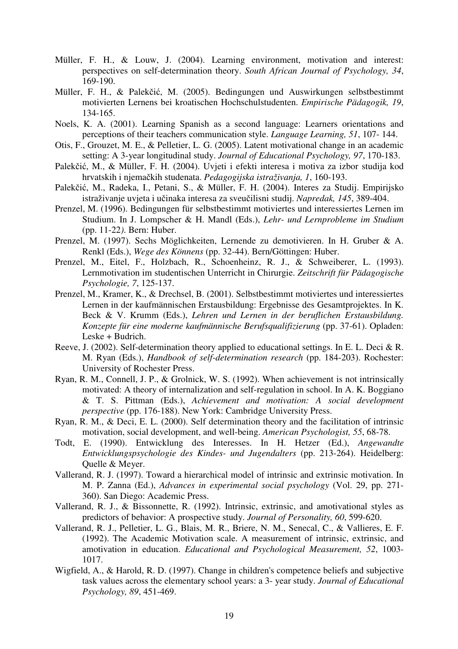- Müller, F. H., & Louw, J. (2004). Learning environment, motivation and interest: perspectives on self-determination theory. *South African Journal of Psychology, 34*, 169-190.
- Müller, F. H., & Palekčić, M. (2005). Bedingungen und Auswirkungen selbstbestimmt motivierten Lernens bei kroatischen Hochschulstudenten. *Empirische Pädagogik, 19*, 134-165.
- Noels, K. A. (2001). Learning Spanish as a second language: Learners orientations and perceptions of their teachers communication style. *Language Learning, 51*, 107- 144.
- Otis, F., Grouzet, M. E., & Pelletier, L. G. (2005). Latent motivational change in an academic setting: A 3-year longitudinal study. *Journal of Educational Psychology, 97*, 170-183.
- Palekčić, M., & Müller, F. H. (2004). Uvjeti i efekti interesa i motiva za izbor studija kod hrvatskih i njemačkih studenata. *Pedagogijska istraživanja, 1*, 160-193.
- Palekčić, M., Radeka, I., Petani, S., & Müller, F. H. (2004). Interes za Studij. Empirijsko istraživanje uvjeta i učinaka interesa za sveučilisni studij. *Napredak, 145*, 389-404.
- Prenzel, M. (1996). Bedingungen für selbstbestimmt motiviertes und interessiertes Lernen im Studium. In J. Lompscher & H. Mandl (Eds.), *Lehr- und Lernprobleme im Studium*  (pp. 11-22*)*. Bern: Huber.
- Prenzel, M. (1997). Sechs Möglichkeiten, Lernende zu demotivieren. In H. Gruber & A. Renkl (Eds.), *Wege des Könnens* (pp. 32-44). Bern/Göttingen: Huber.
- Prenzel, M., Eitel, F., Holzbach, R., Schoenheinz, R. J., & Schweiberer, L. (1993). Lernmotivation im studentischen Unterricht in Chirurgie. *Zeitschrift für Pädagogische Psychologie, 7*, 125-137.
- Prenzel, M., Kramer, K., & Drechsel, B. (2001). Selbstbestimmt motiviertes und interessiertes Lernen in der kaufmännischen Erstausbildung: Ergebnisse des Gesamtprojektes. In K. Beck & V. Krumm (Eds.), *Lehren und Lernen in der beruflichen Erstausbildung. Konzepte für eine moderne kaufmännische Berufsqualifizierung* (pp. 37-61). Opladen: Leske + Budrich.
- Reeve, J. (2002). Self-determination theory applied to educational settings. In E. L. Deci & R. M. Ryan (Eds.), *Handbook of self-determination research* (pp. 184-203). Rochester: University of Rochester Press.
- Ryan, R. M., Connell, J. P., & Grolnick, W. S. (1992). When achievement is not intrinsically motivated: A theory of internalization and self-regulation in school. In A. K. Boggiano & T. S. Pittman (Eds.), *Achievement and motivation: A social development perspective* (pp. 176-188). New York: Cambridge University Press.
- Ryan, R. M., & Deci, E. L. (2000). Self determination theory and the facilitation of intrinsic motivation, social development, and well-being. *American Psychologist, 55*, 68-78.
- Todt, E. (1990). Entwicklung des Interesses. In H. Hetzer (Ed.), *Angewandte Entwicklungspsychologie des Kindes- und Jugendalters* (pp. 213-264). Heidelberg: Quelle & Meyer.
- Vallerand, R. J. (1997). Toward a hierarchical model of intrinsic and extrinsic motivation. In M. P. Zanna (Ed.), *Advances in experimental social psychology* (Vol. 29, pp. 271- 360). San Diego: Academic Press.
- Vallerand, R. J., & Bissonnette, R. (1992). Intrinsic, extrinsic, and amotivational styles as predictors of behavior: A prospective study. *Journal of Personality, 60*, 599-620.
- Vallerand, R. J., Pelletier, L. G., Blais, M. R., Briere, N. M., Senecal, C., & Vallieres, E. F. (1992). The Academic Motivation scale. A measurement of intrinsic, extrinsic, and amotivation in education. *Educational and Psychological Measurement, 52*, 1003- 1017.
- Wigfield, A., & Harold, R. D. (1997). Change in children's competence beliefs and subjective task values across the elementary school years: a 3- year study. *Journal of Educational Psychology, 89*, 451-469.